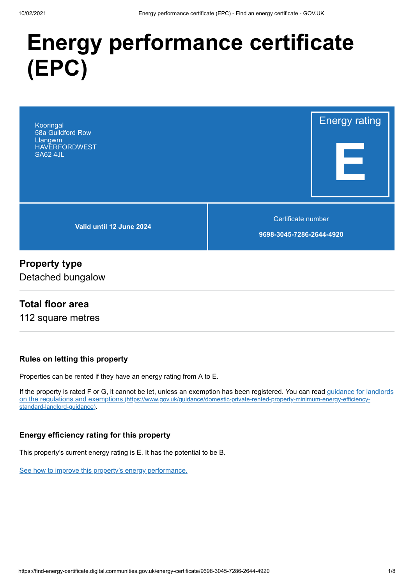# **Energy performance certificate (EPC)**



## **Property type**

Detached bungalow

#### **Total floor area**

112 square metres

#### **Rules on letting this property**

Properties can be rented if they have an energy rating from A to E.

[If the property is rated F or G, it cannot be let, unless an exemption has been registered. You can read guidance for landlords](https://www.gov.uk/guidance/domestic-private-rented-property-minimum-energy-efficiency-standard-landlord-guidance) on the regulations and exemptions (https://www.gov.uk/guidance/domestic-private-rented-property-minimum-energy-efficiencystandard-landlord-guidance).

#### **Energy efficiency rating for this property**

This property's current energy rating is E. It has the potential to be B.

[See how to improve this property's energy performance.](#page-3-0)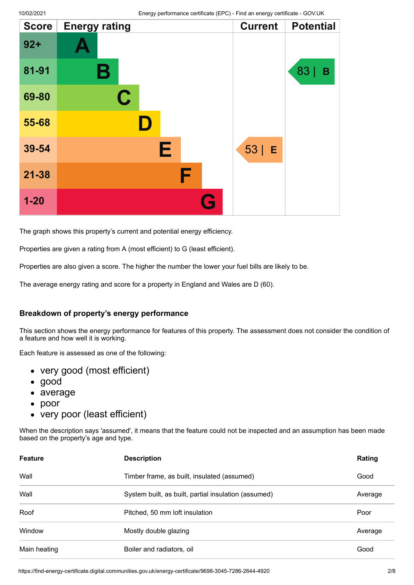| <b>Score</b> | <b>Energy rating</b> | <b>Current</b> | <b>Potential</b> |
|--------------|----------------------|----------------|------------------|
| $92 +$       |                      |                |                  |
| 81-91        | Β                    |                | 83<br>B          |
| 69-80        | $\mathbf C$          |                |                  |
| 55-68        | D                    |                |                  |
| 39-54        | Е                    | $53$   E       |                  |
| $21 - 38$    | F                    |                |                  |
| $1 - 20$     | G                    |                |                  |

The graph shows this property's current and potential energy efficiency.

Properties are given a rating from A (most efficient) to G (least efficient).

Properties are also given a score. The higher the number the lower your fuel bills are likely to be.

The average energy rating and score for a property in England and Wales are D (60).

#### **Breakdown of property's energy performance**

This section shows the energy performance for features of this property. The assessment does not consider the condition of a feature and how well it is working.

Each feature is assessed as one of the following:

- very good (most efficient)
- good
- average
- $\bullet$ poor
- very poor (least efficient)

When the description says 'assumed', it means that the feature could not be inspected and an assumption has been made based on the property's age and type.

| <b>Feature</b> | <b>Description</b>                                   | Rating  |
|----------------|------------------------------------------------------|---------|
| Wall           | Timber frame, as built, insulated (assumed)          | Good    |
| Wall           | System built, as built, partial insulation (assumed) | Average |
| Roof           | Pitched, 50 mm loft insulation                       | Poor    |
| Window         | Mostly double glazing                                | Average |
| Main heating   | Boiler and radiators, oil                            | Good    |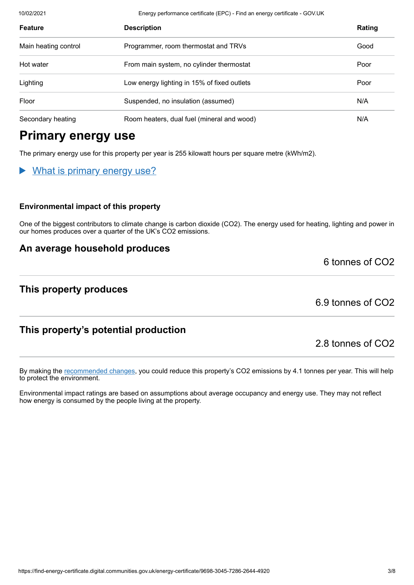10/02/2021 Energy performance certificate (EPC) - Find an energy certificate - GOV.UK

| <b>Feature</b>       | <b>Description</b>                          | Rating |
|----------------------|---------------------------------------------|--------|
| Main heating control | Programmer, room thermostat and TRVs        | Good   |
| Hot water            | From main system, no cylinder thermostat    | Poor   |
| Lighting             | Low energy lighting in 15% of fixed outlets | Poor   |
| Floor                | Suspended, no insulation (assumed)          | N/A    |
| Secondary heating    | Room heaters, dual fuel (mineral and wood)  | N/A    |

# **Primary energy use**

The primary energy use for this property per year is 255 kilowatt hours per square metre (kWh/m2).

#### What is primary energy use?

#### **Environmental impact of this property**

One of the biggest contributors to climate change is carbon dioxide (CO2). The energy used for heating, lighting and power in our homes produces over a quarter of the UK's CO2 emissions.

#### **An average household produces**

#### **This property produces**

6.9 tonnes of CO2

6 tonnes of CO2

### **This property's potential production**

2.8 tonnes of CO2

By making the [recommended changes](#page-3-0), you could reduce this property's CO2 emissions by 4.1 tonnes per year. This will help to protect the environment.

Environmental impact ratings are based on assumptions about average occupancy and energy use. They may not reflect how energy is consumed by the people living at the property.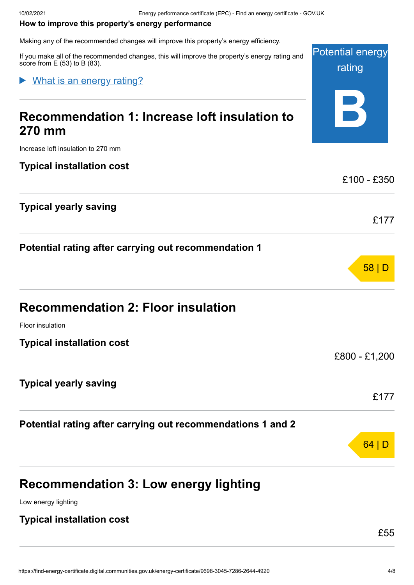Potential energy

rating

#### <span id="page-3-0"></span>**How to improve this property's energy performance**

Making any of the recommended changes will improve this property's energy efficiency.

If you make all of the recommended changes, this will improve the property's energy rating and score from  $E(53)$  to B (83).

#### What is an energy rating?  $\blacktriangleright$

| Recommendation 1: Increase loft insulation to<br><b>270 mm</b> |               |
|----------------------------------------------------------------|---------------|
| Increase loft insulation to 270 mm                             |               |
| <b>Typical installation cost</b>                               |               |
|                                                                | £100 - £350   |
| <b>Typical yearly saving</b>                                   | £177          |
| Potential rating after carrying out recommendation 1           |               |
|                                                                | 58 D          |
| <b>Recommendation 2: Floor insulation</b>                      |               |
| Floor insulation                                               |               |
| <b>Typical installation cost</b>                               |               |
|                                                                | £800 - £1,200 |
| <b>Typical yearly saving</b>                                   |               |
|                                                                | £177          |
| Potential rating after carrying out recommendations 1 and 2    |               |
|                                                                | 64            |
|                                                                |               |
|                                                                |               |

**Recommendation 3: Low energy lighting**

Low energy lighting

#### **Typical installation cost**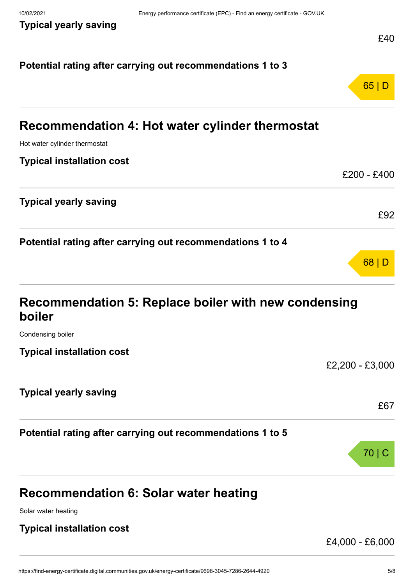|                                                                | £40             |
|----------------------------------------------------------------|-----------------|
| Potential rating after carrying out recommendations 1 to 3     |                 |
|                                                                | 65 D            |
| Recommendation 4: Hot water cylinder thermostat                |                 |
| Hot water cylinder thermostat                                  |                 |
| <b>Typical installation cost</b>                               |                 |
|                                                                | £200 - £400     |
| <b>Typical yearly saving</b>                                   |                 |
|                                                                | £92             |
| Potential rating after carrying out recommendations 1 to 4     |                 |
|                                                                | 68 D            |
| Recommendation 5: Replace boiler with new condensing<br>boiler |                 |
| Condensing boiler                                              |                 |
| <b>Typical installation cost</b>                               |                 |
|                                                                | £2,200 - £3,000 |
| <b>Typical yearly saving</b>                                   |                 |
|                                                                | £67             |
| Potential rating after carrying out recommendations 1 to 5     |                 |
|                                                                | $70$   C        |
| <b>Recommendation 6: Solar water heating</b>                   |                 |
| Solar water heating                                            |                 |
| <b>Typical installation cost</b>                               |                 |

£4,000 - £6,000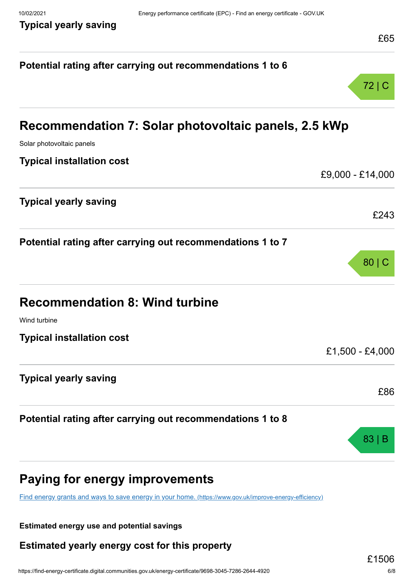| Potential rating after carrying out recommendations 1 to 6                                              |                   |
|---------------------------------------------------------------------------------------------------------|-------------------|
|                                                                                                         | $72 \mid C$       |
| Recommendation 7: Solar photovoltaic panels, 2.5 kWp                                                    |                   |
| Solar photovoltaic panels                                                                               |                   |
| <b>Typical installation cost</b>                                                                        |                   |
|                                                                                                         | £9,000 - £14,000  |
| <b>Typical yearly saving</b>                                                                            |                   |
|                                                                                                         | £243              |
| Potential rating after carrying out recommendations 1 to 7                                              |                   |
|                                                                                                         | 80 C              |
|                                                                                                         |                   |
| <b>Recommendation 8: Wind turbine</b>                                                                   |                   |
| Wind turbine                                                                                            |                   |
| <b>Typical installation cost</b>                                                                        |                   |
|                                                                                                         | $£1,500 - £4,000$ |
| <b>Typical yearly saving</b>                                                                            |                   |
|                                                                                                         | £86               |
| Potential rating after carrying out recommendations 1 to 8                                              |                   |
|                                                                                                         |                   |
|                                                                                                         | 83                |
|                                                                                                         |                   |
| <b>Paying for energy improvements</b>                                                                   |                   |
| Find energy grants and ways to save energy in your home. (https://www.gov.uk/improve-energy-efficiency) |                   |

**Estimated energy use and potential savings**

**Estimated yearly energy cost for this property**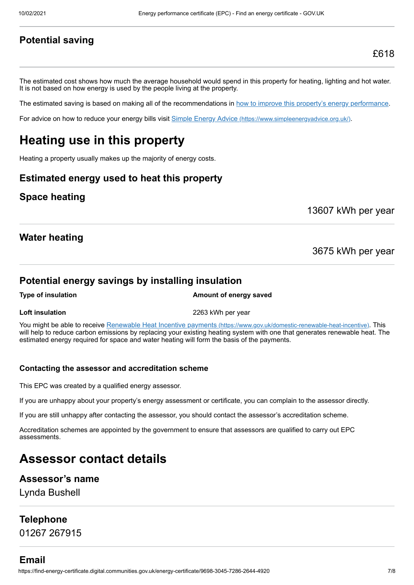#### **Potential saving**

The estimated cost shows how much the average household would spend in this property for heating, lighting and hot water. It is not based on how energy is used by the people living at the property.

The estimated saving is based on making all of the recommendations in [how to improve this property's energy performance.](#page-3-0)

For advice on how to reduce your energy bills visit Simple Energy Advice [\(https://www.simpleenergyadvice.org.uk/\)](https://www.simpleenergyadvice.org.uk/).

# **Heating use in this property**

Heating a property usually makes up the majority of energy costs.

#### **Estimated energy used to heat this property**

#### **Space heating**

13607 kWh per year

#### **Water heating**

3675 kWh per year

#### **Potential energy savings by installing insulation**

**Type of insulation Amount of energy saved** 

**Loft insulation** 2263 kWh per year

You might be able to receive Renewable Heat Incentive payments [\(https://www.gov.uk/domestic-renewable-heat-incentive\)](https://www.gov.uk/domestic-renewable-heat-incentive). This will help to reduce carbon emissions by replacing your existing heating system with one that generates renewable heat. The estimated energy required for space and water heating will form the basis of the payments.

#### **Contacting the assessor and accreditation scheme**

This EPC was created by a qualified energy assessor.

If you are unhappy about your property's energy assessment or certificate, you can complain to the assessor directly.

If you are still unhappy after contacting the assessor, you should contact the assessor's accreditation scheme.

Accreditation schemes are appointed by the government to ensure that assessors are qualified to carry out EPC assessments.

# **Assessor contact details**

#### **Assessor's name**

Lynda Bushell

#### **Telephone**

01267 267915